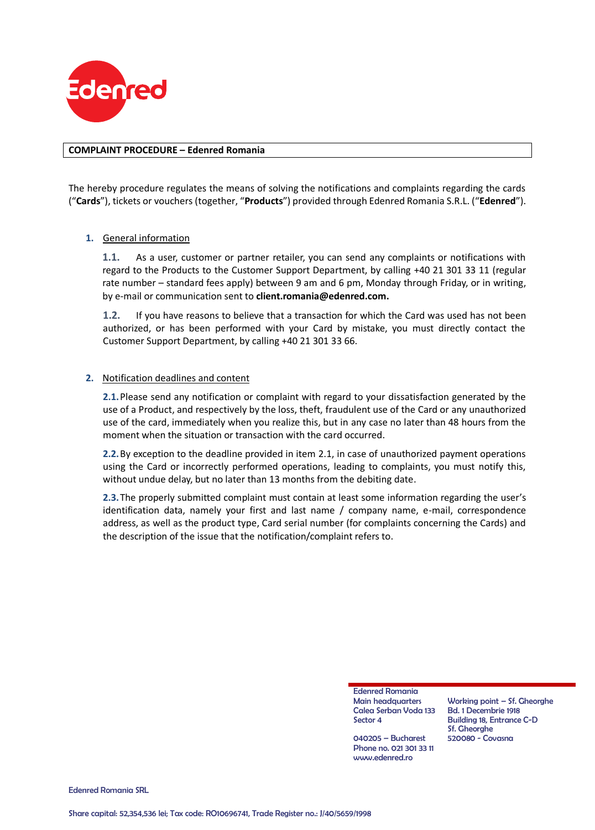

#### **COMPLAINT PROCEDURE – Edenred Romania**

The hereby procedure regulates the means of solving the notifications and complaints regarding the cards ("**Cards**"), tickets or vouchers (together, "**Products**") provided through Edenred Romania S.R.L. ("**Edenred**").

### **1.** General information

**1.1.** As a user, customer or partner retailer, you can send any complaints or notifications with regard to the Products to the Customer Support Department, by calling +40 21 301 33 11 (regular rate number – standard fees apply) between 9 am and 6 pm, Monday through Friday, or in writing, by e-mail or communication sent to **client.romania@edenred.com.**

**1.2.** If you have reasons to believe that a transaction for which the Card was used has not been authorized, or has been performed with your Card by mistake, you must directly contact the Customer Support Department, by calling +40 21 301 33 66.

#### <span id="page-0-0"></span>**2.** Notification deadlines and content

**2.1.**Please send any notification or complaint with regard to your dissatisfaction generated by the use of a Product, and respectively by the loss, theft, fraudulent use of the Card or any unauthorized use of the card, immediately when you realize this, but in any case no later than 48 hours from the moment when the situation or transaction with the card occurred.

**2.2.**By exception to the deadline provided in item [2.1,](#page-0-0) in case of unauthorized payment operations using the Card or incorrectly performed operations, leading to complaints, you must notify this, without undue delay, but no later than 13 months from the debiting date.

**2.3.**The properly submitted complaint must contain at least some information regarding the user's identification data, namely your first and last name / company name, e-mail, correspondence address, as well as the product type, Card serial number (for complaints concerning the Cards) and the description of the issue that the notification/complaint refers to.

> Edenred Romania Main headquarters Calea Serban Voda 133 Sector 4

040205 – Bucharest Phone no. 021 301 33 11 www.edenred.ro

Working point – Sf. Gheorghe Bd. 1 Decembrie 1918 Building 18, Entrance C-D Sf. Gheorghe 520080 - Covasna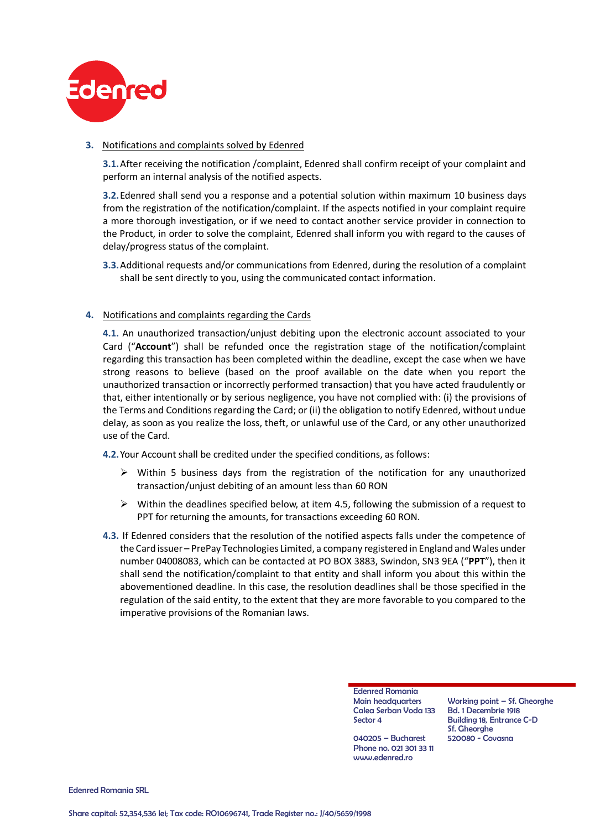

## **3.** Notifications and complaints solved by Edenred

**3.1.**After receiving the notification /complaint, Edenred shall confirm receipt of your complaint and perform an internal analysis of the notified aspects.

**3.2.**Edenred shall send you a response and a potential solution within maximum 10 business days from the registration of the notification/complaint. If the aspects notified in your complaint require a more thorough investigation, or if we need to contact another service provider in connection to the Product, in order to solve the complaint, Edenred shall inform you with regard to the causes of delay/progress status of the complaint.

**3.3.**Additional requests and/or communications from Edenred, during the resolution of a complaint shall be sent directly to you, using the communicated contact information.

## **4.** Notifications and complaints regarding the Cards

**4.1.** An unauthorized transaction/unjust debiting upon the electronic account associated to your Card ("**Account**") shall be refunded once the registration stage of the notification/complaint regarding this transaction has been completed within the deadline, except the case when we have strong reasons to believe (based on the proof available on the date when you report the unauthorized transaction or incorrectly performed transaction) that you have acted fraudulently or that, either intentionally or by serious negligence, you have not complied with: (i) the provisions of the Terms and Conditions regarding the Card; or (ii) the obligation to notify Edenred, without undue delay, as soon as you realize the loss, theft, or unlawful use of the Card, or any other unauthorized use of the Card.

**4.2.**Your Account shall be credited under the specified conditions, as follows:

- $\triangleright$  Within 5 business days from the registration of the notification for any unauthorized transaction/unjust debiting of an amount less than 60 RON
- $\triangleright$  Within the deadlines specified below, at item 4.5, following the submission of a request to PPT for returning the amounts, for transactions exceeding 60 RON.
- **4.3.** If Edenred considers that the resolution of the notified aspects falls under the competence of the Card issuer – PrePay Technologies Limited, a company registered in England and Wales under number 04008083, which can be contacted at PO BOX 3883, Swindon, SN3 9EA ("**PPT**"), then it shall send the notification/complaint to that entity and shall inform you about this within the abovementioned deadline. In this case, the resolution deadlines shall be those specified in the regulation of the said entity, to the extent that they are more favorable to you compared to the imperative provisions of the Romanian laws.

Edenred Romania Main headquarters Calea Serban Voda 133 Sector 4

040205 – Bucharest Phone no. 021 301 33 11 www.edenred.ro

Working point – Sf. Gheorghe Bd. 1 Decembrie 1918 Building 18, Entrance C-D Sf. Gheorghe 520080 - Covasna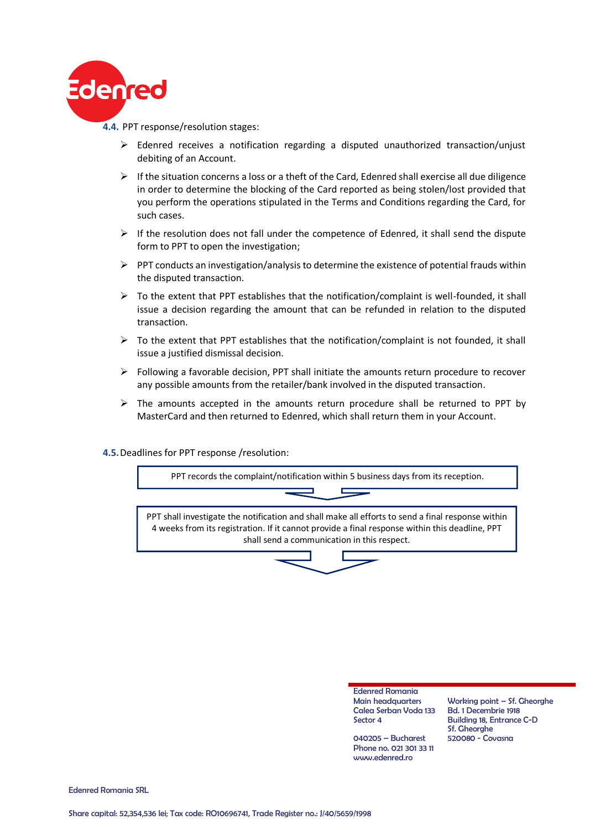

 Edenred receives a notification regarding a disputed unauthorized transaction/unjust debiting of an Account.

- $\triangleright$  If the situation concerns a loss or a theft of the Card, Edenred shall exercise all due diligence in order to determine the blocking of the Card reported as being stolen/lost provided that you perform the operations stipulated in the Terms and Conditions regarding the Card, for such cases.
- $\triangleright$  If the resolution does not fall under the competence of Edenred, it shall send the dispute form to PPT to open the investigation;
- $\triangleright$  PPT conducts an investigation/analysis to determine the existence of potential frauds within the disputed transaction.
- $\triangleright$  To the extent that PPT establishes that the notification/complaint is well-founded, it shall issue a decision regarding the amount that can be refunded in relation to the disputed transaction.
- $\triangleright$  To the extent that PPT establishes that the notification/complaint is not founded, it shall issue a justified dismissal decision.
- $\triangleright$  Following a favorable decision, PPT shall initiate the amounts return procedure to recover any possible amounts from the retailer/bank involved in the disputed transaction.
- $\triangleright$  The amounts accepted in the amounts return procedure shall be returned to PPT by MasterCard and then returned to Edenred, which shall return them in your Account.

### **4.5.**Deadlines for PPT response /resolution:



Edenred Romania Main headquarters Calea Serban Voda 133 Sector 4

Working point – Sf. Gheorghe Bd. 1 Decembrie 1918 Building 18, Entrance C-D Sf. Gheorghe 520080 - Covasna

040205 – Bucharest Phone no. 021 301 33 11 www.edenred.ro